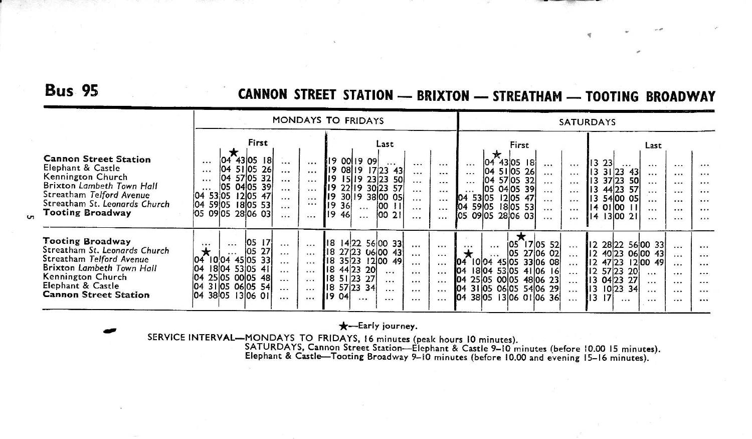### **Bus 95**

 $\mathbf{u}$ 

### CANNON STREET STATION - BRIXTON - STREATHAM - TOOTING BROADWAY

|                                                                                                                                                                                             |                                                                                                                                                                                                                                                                                                                                                            | <b>MONDAYS TO FRIDAYS</b>                                                                                                                                                                                                                                                                                                           | <b>SATURDAYS</b>                                                                                                                                                                                                                                                                                                                  |                                                                                                                                                                                                                                                                                                                                                                    |  |
|---------------------------------------------------------------------------------------------------------------------------------------------------------------------------------------------|------------------------------------------------------------------------------------------------------------------------------------------------------------------------------------------------------------------------------------------------------------------------------------------------------------------------------------------------------------|-------------------------------------------------------------------------------------------------------------------------------------------------------------------------------------------------------------------------------------------------------------------------------------------------------------------------------------|-----------------------------------------------------------------------------------------------------------------------------------------------------------------------------------------------------------------------------------------------------------------------------------------------------------------------------------|--------------------------------------------------------------------------------------------------------------------------------------------------------------------------------------------------------------------------------------------------------------------------------------------------------------------------------------------------------------------|--|
| <b>Cannon Street Station</b><br>Elephant & Castle<br>Kennington Church<br>Brixton Lambeth Town Hall<br>Streatham Telford Avenue<br>Streatham St. Leonards Church<br><b>Tooting Broadway</b> | First<br>×<br>43 05 18<br>104<br>$\cdots$<br>$\cdots$<br>51 05 26<br>104<br>$\cdots$<br><br>57 05 32<br>104<br>$\cdots$<br>$\cdots$<br>04 05 39<br>105<br>$\ddotsc$<br>$\cdots$<br>$\cdots$<br>12 05 47<br>53 05<br>104<br>$\cdots$<br>$\cdots$<br>04 59 05 18 05 53<br>$\cdots$<br><br>05 0905 2806 03<br>.<br>$\cdots$                                   | Last<br>19 00 19 09<br>$\cdots$<br><br>$\cdots$<br>II9<br>08 19<br>$17 23$ 43<br><br>$\dddotsc$<br>19 15 19 23 23<br>50<br>$\cdots$<br>$\cdots$<br>19 22 19 30 23 57<br><br>$\cdots$<br>119<br>30 19 38 00 05<br>$\cdots$<br>$\cdots$<br>19<br> 00 <br>36<br>$\cdots$<br>$\cdots$<br>$\cdots$<br>00 21<br>119<br>46<br>$\cdots$<br> | First<br>43 05<br>-18<br>104<br>$\cdots$<br>$\cdots$<br>$\dddotsc$<br>04 51 05<br>26<br>$\cdots$<br>$\cdots$<br>$ 04\rangle$<br>57 05 32<br>$\cdots$<br>$\cdots$<br>05 04 05 39<br>$\cdots$<br>$\cdots$<br>04 53 05<br>12 05 47<br>$\cdots$<br>$\cdots$<br>04 59 05<br>1805 53<br>.<br>(05 09 05 28 06 03<br>$\cdots$<br>$\cdots$ | Last<br>1323<br>$\cdots$<br>$\cdots$<br><br>$\cdots$<br>lı3<br>$31 23$ 43<br>$\cdots$<br><br>$\cdots$<br>13<br>37 23<br><b>50l</b><br>$\cdots$<br><br>$\cdots$<br>44 23<br>57<br>13<br>$\cdots$<br>$\cdots$<br>$\cdots$<br>13 54 00 05<br>$\cdots$<br>$\cdots$<br><br>14010011<br>$\cdots$<br>$\cdots$<br><br>13 0021<br>14<br>$\cdots$<br>$\cdots$<br>            |  |
| <b>Tooting Broadway</b><br>Streatham St. Leonards Church<br>Streatham Telford Avenue<br>Brixton Lambeth Town Hall<br>Kennington Church<br>Elephant & Castle<br><b>Cannon Street Station</b> | 105<br>17<br>$\cdots$<br>$\cdots$<br>$\cdots$<br>$\cdots$<br>27<br>*<br>105<br>$\cdots$<br>$\cdots$<br>$\cdots$<br>45 05 33<br>04<br>$10^{104}$<br>$\cdots$<br>$\cdots$<br>04<br>18 04 53 05 41<br>$\cdots$<br>$\cdots$<br>25 05 00 05 48<br>104<br>$\cdots$<br>$\cdots$<br>04 31 05 06 05 54<br>$\cdots$<br>$\cdots$<br>04 38 05 13 06 01<br>$\cdots$<br> | lı8<br>14 22 56 00 33<br>$\cdots$<br>$\cdots$<br>18 27 23 06 00 43<br>$\cdots$<br><br>35 23<br>1200 49<br>118<br>$\cdots$<br>$\cdots$<br>18 44 23 20<br>$\cdots$<br>$\cdots$<br><br>18 51 23 27<br><br>$\cdots$<br><br>18 57 23 34<br>$\cdots$<br>$\cdots$<br>$\cdots$<br>119<br>04<br>$\cdots$<br><br><br>                         | $ 05 \n17 05 \n52 $<br>$\cdots$<br>$\cdots$<br>$\cdots$<br>05 27 06 02<br>$\cdots$<br>45 05 33 06 08<br>1004<br>104<br>$\cdots$<br>1804<br>53 05 41 06<br><b>IC4</b><br>16<br>$\cdots$<br>04 25 05 00 05 48 06 23<br>$\cdots$<br>04 31 05 06 05 54 06 29<br>$\sim$<br>38 05<br>1306 0106 36<br>104<br>$\cdots$                    | 12 28 22 56 00 33<br>$\cdots$<br>$\cdots$<br>12 40 23 06 00 43<br>$\ddotsc$<br><br>$12 \frac{47}{23}$<br>12 00 49 <br>$\ddotsc$<br>$\dddot{\bullet}$<br>$12\,5723$<br>20<br>$\cdots$<br>$\cdots$<br>$\cdots$<br>  3 04 23<br>27<br>$\cdots$<br>$\cdots$<br>$\cdots$<br>lı3<br>10123<br>34<br><br>$\cdots$<br>$\cdots$<br>$\sqrt{3}$<br> 7 <br><br>$\cdots$<br><br> |  |

### \*-Early journey.

SERVICE INTERVAL—MONDAYS TO FRIDAYS, 16 minutes (peak hours 10 minutes).<br>SATURDAYS, Cannon Street Station—Elephant & Castle 9–10 minutes (before 10.00 15 minutes).<br>Elephant & Castle—Tooting Broadway 9–10 minutes (before 10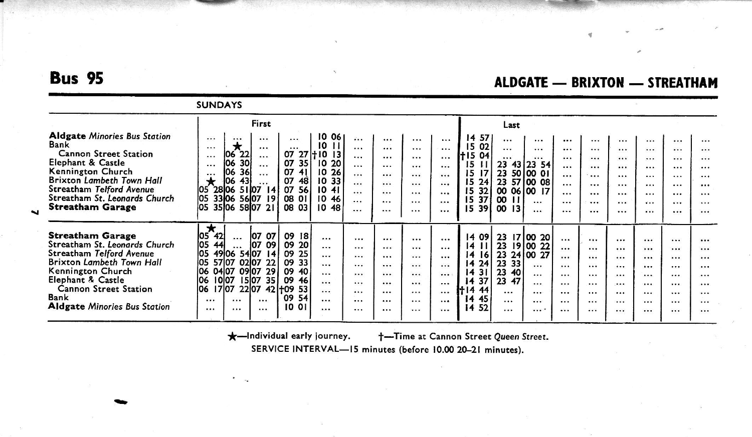## **Bus 95**

### **ALDGATE - BRIXTON - STREATHAM**

|                                                                                                                                                                                                                                     | <b>SUNDAYS</b>                                                                                                                                                                                                                                                                                                                                                                                                                                                           |                                                                                                                                                                                                                                                                      |                                                                                                                                                                                                                                                                                                                                                                                                       |                                                                                                                                                                                              |
|-------------------------------------------------------------------------------------------------------------------------------------------------------------------------------------------------------------------------------------|--------------------------------------------------------------------------------------------------------------------------------------------------------------------------------------------------------------------------------------------------------------------------------------------------------------------------------------------------------------------------------------------------------------------------------------------------------------------------|----------------------------------------------------------------------------------------------------------------------------------------------------------------------------------------------------------------------------------------------------------------------|-------------------------------------------------------------------------------------------------------------------------------------------------------------------------------------------------------------------------------------------------------------------------------------------------------------------------------------------------------------------------------------------------------|----------------------------------------------------------------------------------------------------------------------------------------------------------------------------------------------|
| <b>Aldgate Minories Bus Station</b><br>Bank<br>Cannon Street Station<br>Elephant & Castle<br>Kennington Church<br>Brixton Lambeth Town Hall                                                                                         | First<br>1006<br><br><br>$\cdots$<br><br>10<br>$\star$<br>$\cdots$<br>$\cdots$<br>$\cdots$<br>22<br>$0727 + 1013$<br>06<br>$\cdots$<br>$\cdots$<br>30<br>07<br>20<br>35 I<br>10<br>06<br>$\cdots$<br>$\cdots$<br>36<br>07<br>10 26<br>41<br>106<br>$\cdots$<br><br>43<br>106<br>07<br>$\star$<br>33<br>48<br>10<br>                                                                                                                                                      | $\mathbf{r}$<br><br>$\cdots$<br>$\cdots$<br><br>$\cdots$<br><br><br>$\cdots$<br>$\cdots$<br>$\cdots$<br><br>$\cdots$<br>$\cdots$<br><br><br><br><br>$\ddotsc$<br><br><br>$\cdots$<br>$\cdots$<br>                                                                    | Last<br>57<br>14<br><br><br><br>$\cdots$<br>02<br>15<br>$\cdots$<br><br><br><br>$+15$<br>04<br>$\cdots$<br><br><br><br>43<br>23<br>15<br>23 54<br>п<br>$\cdots$<br><br>23<br>17<br>50 00 01<br>15<br>$\cdots$<br><br>23<br>15<br>100 08<br>24<br>57<br>$\cdots$<br>$\cdots$                                                                                                                           | $\cdots$<br><br><br><br><br><br><br><br>$\cdots$<br>$\cdots$<br><br><br><br><br>$\cdots$<br><br>$\cdots$<br>$\cdots$<br><br>$\cdots$<br>$\cdots$<br><br>$\cdots$<br>                         |
| Streatham Telford Avenue<br>Streatham St. Leonards Church<br><b>Streatham Garage</b>                                                                                                                                                | 2806<br>5107<br>07<br> 4<br>56<br>1041<br>105<br>05<br>3306<br>56 07<br>19<br>08<br>10 46<br>. וס י<br>los<br>08<br>35 06 58 07 21<br>10 48<br>03                                                                                                                                                                                                                                                                                                                        | <br><br><br>$\cdots$<br>$\cdots$<br><br><br><br><br>$\cdots$<br><br>                                                                                                                                                                                                 | 00 06 00 17<br>15<br>32<br>$\cdots$<br>$\cdots$<br>37 <sub>1</sub><br>$\infty$<br>15<br>$\mathbf{H}$<br><br>$\cdots$<br>$\cdots$<br>00<br>1539<br>13<br><br><br>                                                                                                                                                                                                                                      | <br><br>$\cdots$<br>$\cdots$<br><br><br><br><br>$\cdots$<br><br><br>                                                                                                                         |
| <b>Streatham Garage</b><br>Streatham St. Leonards Church<br>Streatham Telford Avenue<br>Brixton Lambeth Town Hall<br>Kennington Church<br>Elephant & Castle<br>Cannon Street Station<br>Bank<br><b>Aldgate Minories Bus Station</b> | $\star$<br>107<br>07<br>09<br>18<br>42<br>105<br>$\cdots$<br>$\cdots$<br>los<br>107<br>09<br>09<br>20<br>44<br><br>los<br>54 07<br>09<br>25<br>14<br>49106<br>$\cdots$<br>105<br>57 07 02 07 22<br>33<br>09<br>$\cdots$<br>29<br>09 07<br>09<br>106<br>04 07<br>40<br>$\cdots$<br>10l07<br>35 <sub>1</sub><br>09<br>1507<br>106<br>46<br><br>1707<br>22 07<br>106<br>$42 + 09$<br>53<br><br>09<br>54<br><br><br><br>$\cdots$<br>10<br>$^{\circ}$<br>$\cdots$<br><br><br> | $\cdots$<br><br><br><br><br><br>$\cdots$<br><br><br>$\cdots$<br><br><br>$\cdots$<br><br>$\cdots$<br><br><br>$\cdots$<br><br><br>$\cdots$<br>$\cdots$<br><br>$\cdots$<br>$\cdots$<br><br><br>$\cdots$<br>$\cdots$<br><br><br>$\cdots$<br>$\cdots$<br>$\cdots$<br><br> | 09<br>23<br>17 00 20<br>$\overline{14}$<br>$\cdots$<br><br>23<br>19 00 22<br>$\mathbf{H}$<br>14<br><br><br>23<br>24 00 27<br> 6 <br>14<br>$\cdots$<br><br>23 33<br>24<br>14<br>$\cdots$<br><br><br>23<br>40<br>31<br>$\overline{14}$<br><br><br><br>23 47<br>37<br>14<br><br>$\cdots$<br><br>44<br>14<br><br><br>$\cdots$<br><br>45<br>14<br>$\cdots$<br><br><br><br>52<br>14<br><br><br><br>$\cdots$ | <br><br><br><br><br><br><br><br><br><br><br><br>$\cdots$<br><br><br>$\cdots$<br><br><br>$\cdots$<br><br><br><br><br>$\cdots$<br><br>$\cdots$<br><br><br><br><br>$\cdots$<br><br><br><br><br> |

\*-Individual early journey.

+-Time at Cannon Street Queen Street.

SERVICE INTERVAL-15 minutes (before 10.00 20-21 minutes).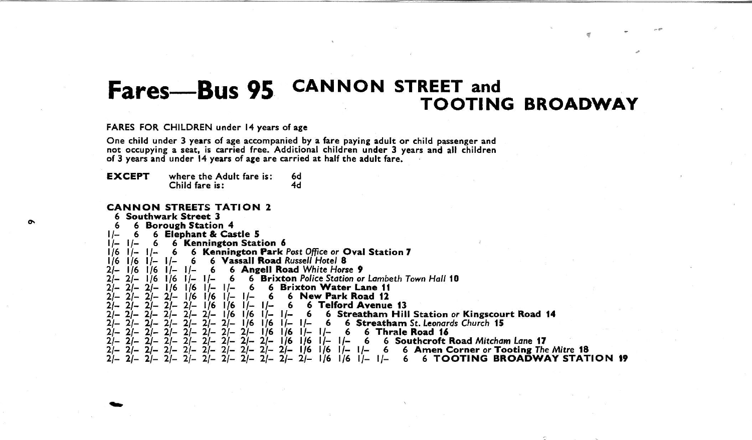# CANNON STREET and **Fares—Bus 95** CANNON STREET and<br>TOOTING BROADWAY

,.

FARES FOR CHILDREN under 14 years of age

One child under 3 years of age accompanied by a fare paying adult or child passenger and<br>not occupying a seat, is carried free. Additional children under 3 years and all children<br>of 3 years and under 14 years of age are ca

**EXCEPT** where the Adult fare is: 6d<br>Child fare is: 4d Child fare is:

#### CANNON STREETS TATION <sup>2</sup>

| 6 Southwark Street 3                                                                                     |                                       |
|----------------------------------------------------------------------------------------------------------|---------------------------------------|
| <b>6 Borough Station 4</b>                                                                               |                                       |
|                                                                                                          |                                       |
| 6 Elephant & Castle 5<br>ı /-                                                                            |                                       |
| 6 Kennington Station 6                                                                                   |                                       |
| 6 Kennington Park Post Office or Oval Station 7<br>1/6<br>6                                              |                                       |
|                                                                                                          |                                       |
| 6 Vassall Road Russell Hotel 8<br>1/6<br>16                                                              |                                       |
| 6 Angell Road White Horse 9<br>6                                                                         |                                       |
| 6 Brixton Police Station or Lambeth Town Hall 10<br>1/6                                                  |                                       |
| 6 Brixton Water Lane 11                                                                                  |                                       |
| 116                                                                                                      |                                       |
| 6 New Park Road 12<br>1/6<br>l /6                                                                        |                                       |
| 6 Telford Avenue 13<br>2/–<br>l/6<br>1/6<br>6<br>$L -$                                                   |                                       |
| 6 Streatham Hill Station or Kingscourt Road 14<br>I / 6<br>6<br>$\overline{ }$                           |                                       |
|                                                                                                          |                                       |
| 6 Streatham St. Leonards Church 15<br>1/6<br>76<br>$1/-$<br>6                                            |                                       |
| 6 Thraie Road 16<br>$1/-$<br>1/6<br>6<br>176<br>$1/-$<br>$2 -$                                           |                                       |
| 1/6<br>$1/-$<br>$I -$<br>6                                                                               | 6 Southcroft Road Mitcham Lane 17     |
|                                                                                                          |                                       |
| <i>\ </i> 6<br>$1/6$ $1/ 1/-$<br>21–<br>$2/-$<br>6 <sup>1</sup><br>$21-$                                 | 6 Amen Corner or Tooting The Mitre 18 |
| $2/- 2/- 2/- 2/- 2/- 2/- 1/6$<br>$1/6$ $1/ 1/-$<br>21–<br>6<br>$2I-$<br>$2/-$<br>$21-$<br>$2/-$<br>$21-$ | <b>6 TOOTING BROADWAY STATION 19</b>  |
|                                                                                                          |                                       |